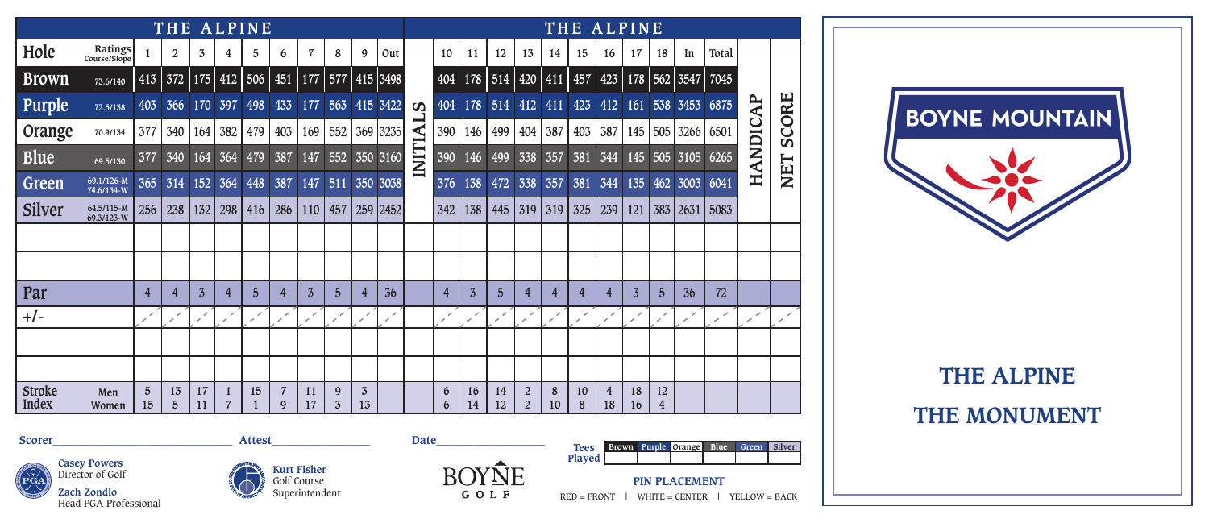|                               |                          |                               | THE ALPINE           |                |                |                |                     |                |                |                      |          |                         |                             |                |                |                                  |         |         | THE ALPINE |                |                      |                  |       |                   |              |
|-------------------------------|--------------------------|-------------------------------|----------------------|----------------|----------------|----------------|---------------------|----------------|----------------|----------------------|----------|-------------------------|-----------------------------|----------------|----------------|----------------------------------|---------|---------|------------|----------------|----------------------|------------------|-------|-------------------|--------------|
| Hole                          | Ratings<br>Course/Slope  |                               | $\overline{2}$       | 3              | 4              | 5              | 6                   | $\overline{7}$ | 8              | 9                    | Out      |                         | 10                          | 11             | 12             | 13                               | 14      | 15      | 16         | 17             | 18                   | In               | Total |                   |              |
| <b>Brown</b>                  | 73.6/140                 |                               | $413$ 372            |                | $175$ 412      | 506            | $451$   177         |                | 577            |                      | 415 3498 |                         | 404                         | 178            | 514 420 411    |                                  |         | 457     | 423        |                |                      | 178   562   3547 | 7045  |                   |              |
| Purple                        | 72.5/138                 | 403                           | 366                  | 170            | 397            | 498            | 433                 | 177            | 563            |                      | 415 3422 | $\boldsymbol{\omega}$   | 404                         | 178            | 514            | 412                              | 411     | 423     | 412        | 161            |                      | 538 3453         | 6875  | <b>AP</b>         |              |
| Orange                        | 70.9/134                 | 377                           | 340                  | 164            | 382            | 479            | 403                 | 169            | 552            |                      | 369 3235 | $\overline{\mathbf{A}}$ | 390                         | 146            | 499            | 404                              | 387     | 403     | 387        |                | 145   505            | 3266             | 6501  |                   | <b>SCORE</b> |
| <b>Blue</b>                   | 69.5/130                 | 377                           | 340                  | 164            | 364            | 479            | 387                 | 147            | 552            |                      | 350 3160 | INITI.                  | 390                         | 146            | 499            | 338                              | 357     | 381     | 344        | 145            | 505                  | 3105             | 6265  | <b>ANDIC</b><br>王 | NET          |
| Green                         | 69.1/126-M<br>74.6/134-W | 365                           | 314                  | 152            | 364            | 448            | 387                 | 147            | 511            |                      | 350 3038 |                         | 376                         | 138            | 472            | 338                              | 357     | 381     | 344        | 135            |                      | 462 3003         | 6041  |                   |              |
| <b>Silver</b>                 | 64.5/115-M<br>69.3/123-W | 256                           | 238                  | 132            | 298            | 416            | 286                 | 110            | 457            |                      | 259 2452 |                         | 342                         | 138            | 445            | 319                              | 319     | 325     | 239        | 121            |                      | 383 2631         | 5083  |                   |              |
|                               |                          |                               |                      |                |                |                |                     |                |                |                      |          |                         |                             |                |                |                                  |         |         |            |                |                      |                  |       |                   |              |
|                               |                          |                               |                      |                |                |                |                     |                |                |                      |          |                         |                             |                |                |                                  |         |         |            |                |                      |                  |       |                   |              |
| Par                           |                          | 4                             | $\overline{4}$       | $\overline{3}$ | 4              | $\overline{5}$ | 4                   | $\overline{3}$ | $\overline{5}$ | 4                    | 36       |                         | 4                           | $\overline{3}$ | $\overline{5}$ | 4                                | 4       | 4       | 4          | $\overline{3}$ | $\overline{5}$       | 36               | 72    |                   |              |
| $+/-$                         |                          | $\overline{\phantom{a}}$<br>, |                      |                | v.             | ৴<br>×         | ৴                   | ,              | ৴              | ◢                    | ×        |                         | $\mathcal{S}^{\mathcal{E}}$ | ৴              | v              | ◢                                | ╱       | ╭<br>╭  | ◢<br>×     | ╭              | $\mathcal{S}$        |                  | ╱     | ╱<br>╭            | ╱            |
|                               |                          |                               |                      |                |                |                |                     |                |                |                      |          |                         |                             |                |                |                                  |         |         |            |                |                      |                  |       |                   |              |
|                               |                          |                               |                      |                |                |                |                     |                |                |                      |          |                         |                             |                |                |                                  |         |         |            |                |                      |                  |       |                   |              |
| <b>Stroke</b><br><b>Index</b> | Men<br>Women             | $\overline{5}$<br>15          | 13<br>$\overline{5}$ | 17<br>11       | $\overline{7}$ | 15             | $\overline{7}$<br>9 | 11<br>17       | 9<br>3         | $\overline{3}$<br>13 |          |                         | 6<br>6                      | 16<br>14       | 14<br>12       | $\overline{2}$<br>$\overline{2}$ | 8<br>10 | 10<br>8 | 4<br>18    | 18<br>16       | 12<br>$\overline{4}$ |                  |       |                   |              |
|                               |                          |                               |                      |                |                |                |                     |                |                |                      |          |                         |                             |                |                |                                  |         |         |            |                |                      |                  |       |                   |              |

BOYNE MOUNTAIN

## **THE ALPINE**

**THE MONUMENT**









**Played**

**PIN PLACEMENT**  $RED = FROMT$  | WHITE = CENTER | YELLOW = BACK

**Brown Purple Orange Blue Green Silver**